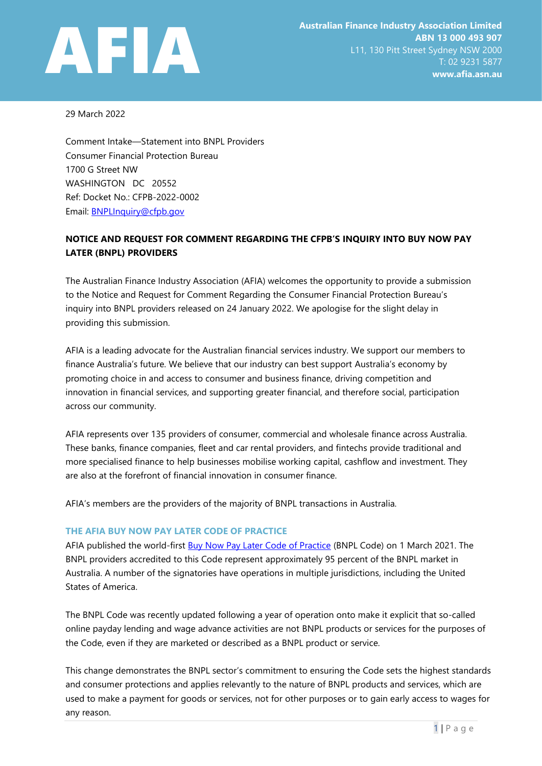

29 March 2022

Comment Intake—Statement into BNPL Providers Consumer Financial Protection Bureau 1700 G Street NW WASHINGTON DC 20552 Ref: Docket No.: CFPB-2022-0002 Email: [BNPLInquiry@cfpb.gov](mailto:BNPLInquiry@cfpb.gov)

# **NOTICE AND REQUEST FOR COMMENT REGARDING THE CFPB'S INQUIRY INTO BUY NOW PAY LATER (BNPL) PROVIDERS**

The Australian Finance Industry Association (AFIA) welcomes the opportunity to provide a submission to the Notice and Request for Comment Regarding the Consumer Financial Protection Bureau's inquiry into BNPL providers released on 24 January 2022. We apologise for the slight delay in providing this submission.

AFIA is a leading advocate for the Australian financial services industry. We support our members to finance Australia's future. We believe that our industry can best support Australia's economy by promoting choice in and access to consumer and business finance, driving competition and innovation in financial services, and supporting greater financial, and therefore social, participation across our community.

AFIA represents over 135 providers of consumer, commercial and wholesale finance across Australia. These banks, finance companies, fleet and car rental providers, and fintechs provide traditional and more specialised finance to help businesses mobilise working capital, cashflow and investment. They are also at the forefront of financial innovation in consumer finance.

AFIA's members are the providers of the majority of BNPL transactions in Australia.

## **THE AFIA BUY NOW PAY LATER CODE OF PRACTICE**

AFIA published the world-first [Buy Now Pay Later Code of Practice](https://afia.asn.au/files/galleries/AFIA_Code_of_Practice_for_Buy_Now_Pay_Later_Providers.pdf) (BNPL Code) on 1 March 2021. The BNPL providers accredited to this Code represent approximately 95 percent of the BNPL market in Australia. A number of the signatories have operations in multiple jurisdictions, including the United States of America.

The BNPL Code was recently updated following a year of operation onto make it explicit that so-called online payday lending and wage advance activities are not BNPL products or services for the purposes of the Code, even if they are marketed or described as a BNPL product or service.

This change demonstrates the BNPL sector's commitment to ensuring the Code sets the highest standards and consumer protections and applies relevantly to the nature of BNPL products and services, which are used to make a payment for goods or services, not for other purposes or to gain early access to wages for any reason.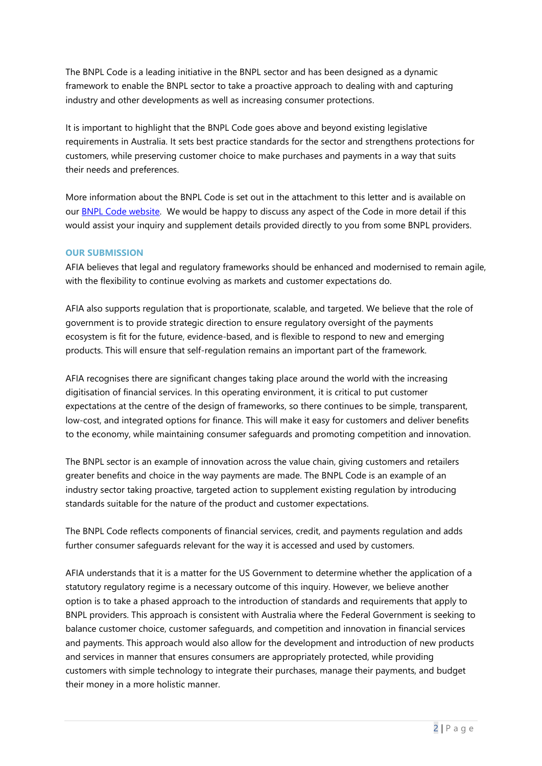The BNPL Code is a leading initiative in the BNPL sector and has been designed as a dynamic framework to enable the BNPL sector to take a proactive approach to dealing with and capturing industry and other developments as well as increasing consumer protections.

It is important to highlight that the BNPL Code goes above and beyond existing legislative requirements in Australia. It sets best practice standards for the sector and strengthens protections for customers, while preserving customer choice to make purchases and payments in a way that suits their needs and preferences.

More information about the BNPL Code is set out in the attachment to this letter and is available on our [BNPL Code website.](https://afia.asn.au/AFIA-Buy-Now-Pay-Later-Code-of-Practice) We would be happy to discuss any aspect of the Code in more detail if this would assist your inquiry and supplement details provided directly to you from some BNPL providers.

## **OUR SUBMISSION**

AFIA believes that legal and regulatory frameworks should be enhanced and modernised to remain agile, with the flexibility to continue evolving as markets and customer expectations do.

AFIA also supports regulation that is proportionate, scalable, and targeted. We believe that the role of government is to provide strategic direction to ensure regulatory oversight of the payments ecosystem is fit for the future, evidence-based, and is flexible to respond to new and emerging products. This will ensure that self-regulation remains an important part of the framework.

AFIA recognises there are significant changes taking place around the world with the increasing digitisation of financial services. In this operating environment, it is critical to put customer expectations at the centre of the design of frameworks, so there continues to be simple, transparent, low-cost, and integrated options for finance. This will make it easy for customers and deliver benefits to the economy, while maintaining consumer safeguards and promoting competition and innovation.

The BNPL sector is an example of innovation across the value chain, giving customers and retailers greater benefits and choice in the way payments are made. The BNPL Code is an example of an industry sector taking proactive, targeted action to supplement existing regulation by introducing standards suitable for the nature of the product and customer expectations.

The BNPL Code reflects components of financial services, credit, and payments regulation and adds further consumer safeguards relevant for the way it is accessed and used by customers.

AFIA understands that it is a matter for the US Government to determine whether the application of a statutory regulatory regime is a necessary outcome of this inquiry. However, we believe another option is to take a phased approach to the introduction of standards and requirements that apply to BNPL providers. This approach is consistent with Australia where the Federal Government is seeking to balance customer choice, customer safeguards, and competition and innovation in financial services and payments. This approach would also allow for the development and introduction of new products and services in manner that ensures consumers are appropriately protected, while providing customers with simple technology to integrate their purchases, manage their payments, and budget their money in a more holistic manner.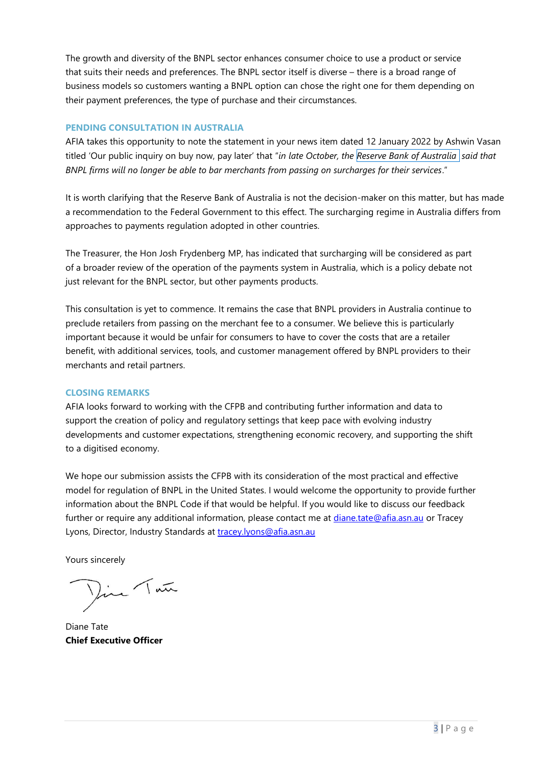The growth and diversity of the BNPL sector enhances consumer choice to use a product or service that suits their needs and preferences. The BNPL sector itself is diverse – there is a broad range of business models so customers wanting a BNPL option can chose the right one for them depending on their payment preferences, the type of purchase and their circumstances.

#### **PENDING CONSULTATION IN AUSTRALIA**

AFIA takes this opportunity to note the statement in your news item dated 12 January 2022 by Ashwin Vasan titled 'Our public inquiry on buy now, pay later' that "*in late October, the Reserve Bank of [Australia](https://www.rba.gov.au/media-releases/2021/mr-21-23.html) said that BNPL firms will no longer be able to bar merchants from passing on surcharges for their services*."

It is worth clarifying that the Reserve Bank of Australia is not the decision-maker on this matter, but has made a recommendation to the Federal Government to this effect. The surcharging regime in Australia differs from approaches to payments regulation adopted in other countries.

The Treasurer, the Hon Josh Frydenberg MP, has indicated that surcharging will be considered as part of a broader review of the operation of the payments system in Australia, which is a policy debate not just relevant for the BNPL sector, but other payments products.

This consultation is yet to commence. It remains the case that BNPL providers in Australia continue to preclude retailers from passing on the merchant fee to a consumer. We believe this is particularly important because it would be unfair for consumers to have to cover the costs that are a retailer benefit, with additional services, tools, and customer management offered by BNPL providers to their merchants and retail partners.

## **CLOSING REMARKS**

AFIA looks forward to working with the CFPB and contributing further information and data to support the creation of policy and regulatory settings that keep pace with evolving industry developments and customer expectations, strengthening economic recovery, and supporting the shift to a digitised economy.

We hope our submission assists the CFPB with its consideration of the most practical and effective model for regulation of BNPL in the United States. I would welcome the opportunity to provide further information about the BNPL Code if that would be helpful. If you would like to discuss our feedback further or require any additional information, please contact me at [diane.tate@afia.asn.au](mailto:diane.tate@afia.asn.au) or Tracey Lyons, Director, Industry Standards at [tracey.lyons@afia.asn.au](mailto:tracey.lyons@afia.asn.au)

Yours sincerely

Din Tan

Diane Tate **Chief Executive Officer**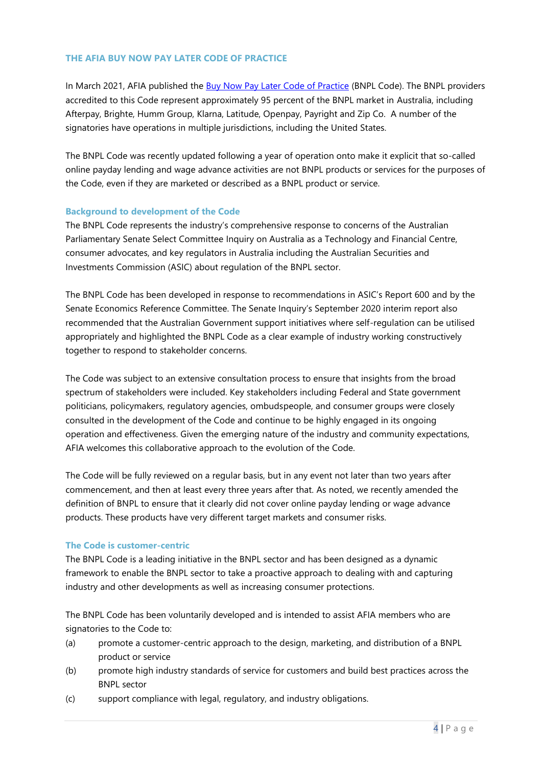## **THE AFIA BUY NOW PAY LATER CODE OF PRACTICE**

In March 2021, AFIA published the [Buy Now Pay Later Code of Practice](https://afia.asn.au/files/galleries/AFIA_Code_of_Practice_for_Buy_Now_Pay_Later_Providers.pdf) (BNPL Code). The BNPL providers accredited to this Code represent approximately 95 percent of the BNPL market in Australia, including Afterpay, Brighte, Humm Group, Klarna, Latitude, Openpay, Payright and Zip Co. A number of the signatories have operations in multiple jurisdictions, including the United States.

The BNPL Code was recently updated following a year of operation onto make it explicit that so-called online payday lending and wage advance activities are not BNPL products or services for the purposes of the Code, even if they are marketed or described as a BNPL product or service.

## **Background to development of the Code**

The BNPL Code represents the industry's comprehensive response to concerns of the Australian Parliamentary Senate Select Committee Inquiry on Australia as a Technology and Financial Centre, consumer advocates, and key regulators in Australia including the Australian Securities and Investments Commission (ASIC) about regulation of the BNPL sector.

The BNPL Code has been developed in response to recommendations in ASIC's Report 600 and by the Senate Economics Reference Committee. The Senate Inquiry's September 2020 interim report also recommended that the Australian Government support initiatives where self-regulation can be utilised appropriately and highlighted the BNPL Code as a clear example of industry working constructively together to respond to stakeholder concerns.

The Code was subject to an extensive consultation process to ensure that insights from the broad spectrum of stakeholders were included. Key stakeholders including Federal and State government politicians, policymakers, regulatory agencies, ombudspeople, and consumer groups were closely consulted in the development of the Code and continue to be highly engaged in its ongoing operation and effectiveness. Given the emerging nature of the industry and community expectations, AFIA welcomes this collaborative approach to the evolution of the Code.

The Code will be fully reviewed on a regular basis, but in any event not later than two years after commencement, and then at least every three years after that. As noted, we recently amended the definition of BNPL to ensure that it clearly did not cover online payday lending or wage advance products. These products have very different target markets and consumer risks.

## **The Code is customer-centric**

The BNPL Code is a leading initiative in the BNPL sector and has been designed as a dynamic framework to enable the BNPL sector to take a proactive approach to dealing with and capturing industry and other developments as well as increasing consumer protections.

The BNPL Code has been voluntarily developed and is intended to assist AFIA members who are signatories to the Code to:

- (a) promote a customer-centric approach to the design, marketing, and distribution of a BNPL product or service
- (b) promote high industry standards of service for customers and build best practices across the BNPL sector
- (c) support compliance with legal, regulatory, and industry obligations.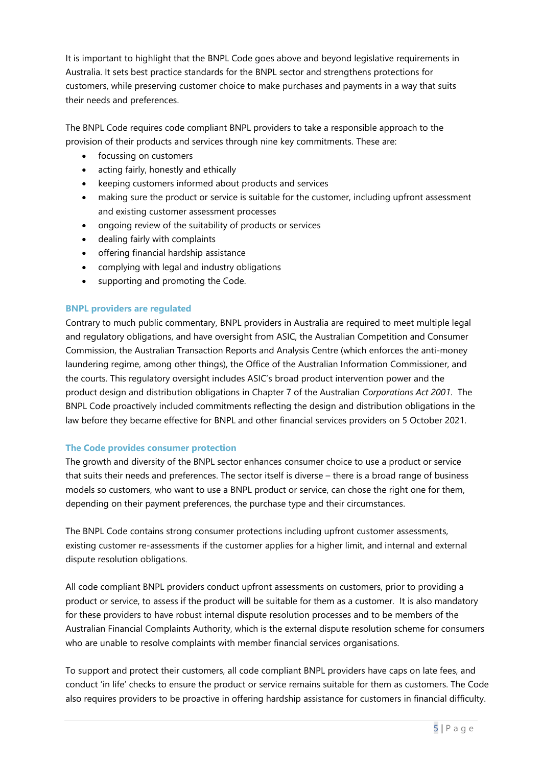It is important to highlight that the BNPL Code goes above and beyond legislative requirements in Australia. It sets best practice standards for the BNPL sector and strengthens protections for customers, while preserving customer choice to make purchases and payments in a way that suits their needs and preferences.

The BNPL Code requires code compliant BNPL providers to take a responsible approach to the provision of their products and services through nine key commitments. These are:

- focussing on customers
- acting fairly, honestly and ethically
- keeping customers informed about products and services
- making sure the product or service is suitable for the customer, including upfront assessment and existing customer assessment processes
- ongoing review of the suitability of products or services
- dealing fairly with complaints
- offering financial hardship assistance
- complying with legal and industry obligations
- supporting and promoting the Code.

## **BNPL providers are regulated**

Contrary to much public commentary, BNPL providers in Australia are required to meet multiple legal and regulatory obligations, and have oversight from ASIC, the Australian Competition and Consumer Commission, the Australian Transaction Reports and Analysis Centre (which enforces the anti-money laundering regime, among other things), the Office of the Australian Information Commissioner, and the courts. This regulatory oversight includes ASIC's broad product intervention power and the product design and distribution obligations in Chapter 7 of the Australian *Corporations Act 2001*. The BNPL Code proactively included commitments reflecting the design and distribution obligations in the law before they became effective for BNPL and other financial services providers on 5 October 2021.

## **The Code provides consumer protection**

The growth and diversity of the BNPL sector enhances consumer choice to use a product or service that suits their needs and preferences. The sector itself is diverse – there is a broad range of business models so customers, who want to use a BNPL product or service, can chose the right one for them, depending on their payment preferences, the purchase type and their circumstances.

The BNPL Code contains strong consumer protections including upfront customer assessments, existing customer re-assessments if the customer applies for a higher limit, and internal and external dispute resolution obligations.

All code compliant BNPL providers conduct upfront assessments on customers, prior to providing a product or service, to assess if the product will be suitable for them as a customer. It is also mandatory for these providers to have robust internal dispute resolution processes and to be members of the Australian Financial Complaints Authority, which is the external dispute resolution scheme for consumers who are unable to resolve complaints with member financial services organisations.

To support and protect their customers, all code compliant BNPL providers have caps on late fees, and conduct 'in life' checks to ensure the product or service remains suitable for them as customers. The Code also requires providers to be proactive in offering hardship assistance for customers in financial difficulty.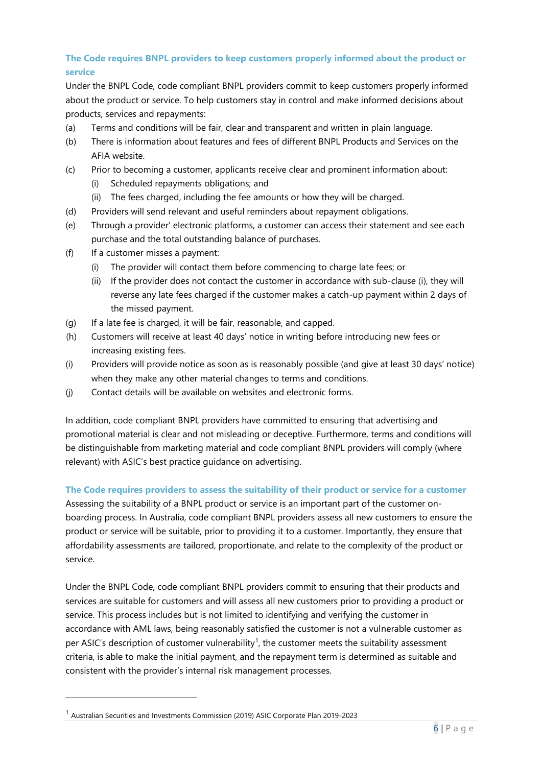## **The Code requires BNPL providers to keep customers properly informed about the product or service**

Under the BNPL Code, code compliant BNPL providers commit to keep customers properly informed about the product or service. To help customers stay in control and make informed decisions about products, services and repayments:

- (a) Terms and conditions will be fair, clear and transparent and written in plain language.
- (b) There is information about features and fees of different BNPL Products and Services on the AFIA website.
- (c) Prior to becoming a customer, applicants receive clear and prominent information about:
	- (i) Scheduled repayments obligations; and
	- (ii) The fees charged, including the fee amounts or how they will be charged.
- (d) Providers will send relevant and useful reminders about repayment obligations.
- (e) Through a provider' electronic platforms, a customer can access their statement and see each purchase and the total outstanding balance of purchases.
- (f) If a customer misses a payment:
	- (i) The provider will contact them before commencing to charge late fees; or
	- (ii) If the provider does not contact the customer in accordance with sub-clause (i), they will reverse any late fees charged if the customer makes a catch-up payment within 2 days of the missed payment.
- (g) If a late fee is charged, it will be fair, reasonable, and capped.
- (h) Customers will receive at least 40 days' notice in writing before introducing new fees or increasing existing fees.
- (i) Providers will provide notice as soon as is reasonably possible (and give at least 30 days' notice) when they make any other material changes to terms and conditions.
- (j) Contact details will be available on websites and electronic forms.

In addition, code compliant BNPL providers have committed to ensuring that advertising and promotional material is clear and not misleading or deceptive. Furthermore, terms and conditions will be distinguishable from marketing material and code compliant BNPL providers will comply (where relevant) with ASIC's best practice guidance on advertising.

## **The Code requires providers to assess the suitability of their product or service for a customer**

Assessing the suitability of a BNPL product or service is an important part of the customer onboarding process. In Australia, code compliant BNPL providers assess all new customers to ensure the product or service will be suitable, prior to providing it to a customer. Importantly, they ensure that affordability assessments are tailored, proportionate, and relate to the complexity of the product or service.

Under the BNPL Code, code compliant BNPL providers commit to ensuring that their products and services are suitable for customers and will assess all new customers prior to providing a product or service. This process includes but is not limited to identifying and verifying the customer in accordance with AML laws, being reasonably satisfied the customer is not a vulnerable customer as per ASIC's description of customer vulnerability<sup>1</sup>, the customer meets the suitability assessment criteria, is able to make the initial payment, and the repayment term is determined as suitable and consistent with the provider's internal risk management processes.

<sup>1</sup> Australian Securities and Investments Commission (2019) ASIC Corporate Plan 2019-2023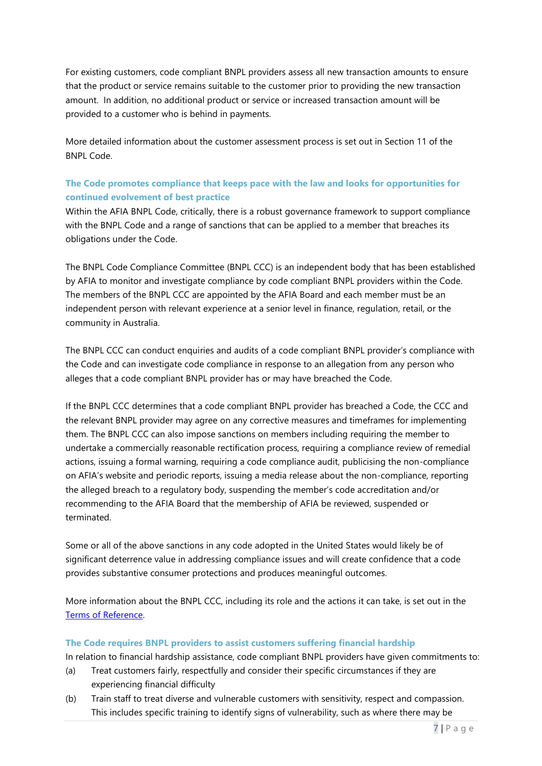For existing customers, code compliant BNPL providers assess all new transaction amounts to ensure that the product or service remains suitable to the customer prior to providing the new transaction amount. In addition, no additional product or service or increased transaction amount will be provided to a customer who is behind in payments.

More detailed information about the customer assessment process is set out in Section 11 of the BNPL Code.

## **The Code promotes compliance that keeps pace with the law and looks for opportunities for continued evolvement of best practice**

Within the AFIA BNPL Code, critically, there is a robust governance framework to support compliance with the BNPL Code and a range of sanctions that can be applied to a member that breaches its obligations under the Code.

The BNPL Code Compliance Committee (BNPL CCC) is an independent body that has been established by AFIA to monitor and investigate compliance by code compliant BNPL providers within the Code. The members of the BNPL CCC are appointed by the AFIA Board and each member must be an independent person with relevant experience at a senior level in finance, regulation, retail, or the community in Australia.

The BNPL CCC can conduct enquiries and audits of a code compliant BNPL provider's compliance with the Code and can investigate code compliance in response to an allegation from any person who alleges that a code compliant BNPL provider has or may have breached the Code.

If the BNPL CCC determines that a code compliant BNPL provider has breached a Code, the CCC and the relevant BNPL provider may agree on any corrective measures and timeframes for implementing them. The BNPL CCC can also impose sanctions on members including requiring the member to undertake a commercially reasonable rectification process, requiring a compliance review of remedial actions, issuing a formal warning, requiring a code compliance audit, publicising the non-compliance on AFIA's website and periodic reports, issuing a media release about the non-compliance, reporting the alleged breach to a regulatory body, suspending the member's code accreditation and/or recommending to the AFIA Board that the membership of AFIA be reviewed, suspended or terminated.

Some or all of the above sanctions in any code adopted in the United States would likely be of significant deterrence value in addressing compliance issues and will create confidence that a code provides substantive consumer protections and produces meaningful outcomes.

More information about the BNPL CCC, including its role and the actions it can take, is set out in the [Terms of Reference.](https://afia.asn.au/files/galleries/AFIA_BNPL_Code_of_Practice_Terms_of_Reference.pdf)

## **The Code requires BNPL providers to assist customers suffering financial hardship**

In relation to financial hardship assistance, code compliant BNPL providers have given commitments to:

- (a) Treat customers fairly, respectfully and consider their specific circumstances if they are experiencing financial difficulty
- (b) Train staff to treat diverse and vulnerable customers with sensitivity, respect and compassion. This includes specific training to identify signs of vulnerability, such as where there may be